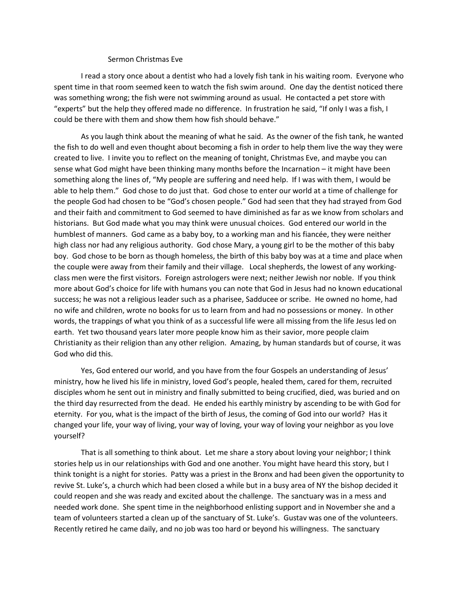## Sermon Christmas Eve

I read a story once about a dentist who had a lovely fish tank in his waiting room. Everyone who spent time in that room seemed keen to watch the fish swim around. One day the dentist noticed there was something wrong; the fish were not swimming around as usual. He contacted a pet store with "experts" but the help they offered made no difference. In frustration he said, "If only I was a fish, I could be there with them and show them how fish should behave."

As you laugh think about the meaning of what he said. As the owner of the fish tank, he wanted the fish to do well and even thought about becoming a fish in order to help them live the way they were created to live. I invite you to reflect on the meaning of tonight, Christmas Eve, and maybe you can sense what God might have been thinking many months before the Incarnation – it might have been something along the lines of, "My people are suffering and need help. If I was with them, I would be able to help them." God chose to do just that. God chose to enter our world at a time of challenge for the people God had chosen to be "God's chosen people." God had seen that they had strayed from God and their faith and commitment to God seemed to have diminished as far as we know from scholars and historians. But God made what you may think were unusual choices. God entered our world in the humblest of manners. God came as a baby boy, to a working man and his fiancée, they were neither high class nor had any religious authority. God chose Mary, a young girl to be the mother of this baby boy. God chose to be born as though homeless, the birth of this baby boy was at a time and place when the couple were away from their family and their village. Local shepherds, the lowest of any workingclass men were the first visitors. Foreign astrologers were next; neither Jewish nor noble. If you think more about God's choice for life with humans you can note that God in Jesus had no known educational success; he was not a religious leader such as a pharisee, Sadducee or scribe. He owned no home, had no wife and children, wrote no books for us to learn from and had no possessions or money. In other words, the trappings of what you think of as a successful life were all missing from the life Jesus led on earth. Yet two thousand years later more people know him as their savior, more people claim Christianity as their religion than any other religion. Amazing, by human standards but of course, it was God who did this.

Yes, God entered our world, and you have from the four Gospels an understanding of Jesus' ministry, how he lived his life in ministry, loved God's people, healed them, cared for them, recruited disciples whom he sent out in ministry and finally submitted to being crucified, died, was buried and on the third day resurrected from the dead. He ended his earthly ministry by ascending to be with God for eternity. For you, what is the impact of the birth of Jesus, the coming of God into our world? Has it changed your life, your way of living, your way of loving, your way of loving your neighbor as you love yourself?

That is all something to think about. Let me share a story about loving your neighbor; I think stories help us in our relationships with God and one another. You might have heard this story, but I think tonight is a night for stories. Patty was a priest in the Bronx and had been given the opportunity to revive St. Luke's, a church which had been closed a while but in a busy area of NY the bishop decided it could reopen and she was ready and excited about the challenge. The sanctuary was in a mess and needed work done. She spent time in the neighborhood enlisting support and in November she and a team of volunteers started a clean up of the sanctuary of St. Luke's. Gustav was one of the volunteers. Recently retired he came daily, and no job was too hard or beyond his willingness. The sanctuary